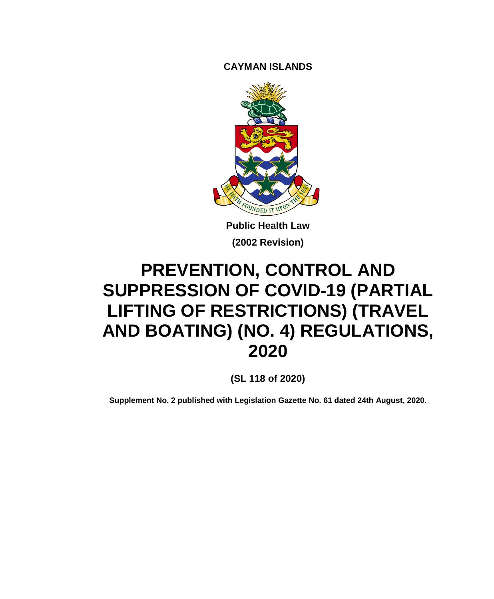**CAYMAN ISLANDS**



**Public Health Law (2002 Revision)**

# **PREVENTION, CONTROL AND SUPPRESSION OF COVID-19 (PARTIAL LIFTING OF RESTRICTIONS) (TRAVEL AND BOATING) (NO. 4) REGULATIONS, 2020**

**(SL 118 of 2020)**

**Supplement No. 2 published with Legislation Gazette No. 61 dated 24th August, 2020.**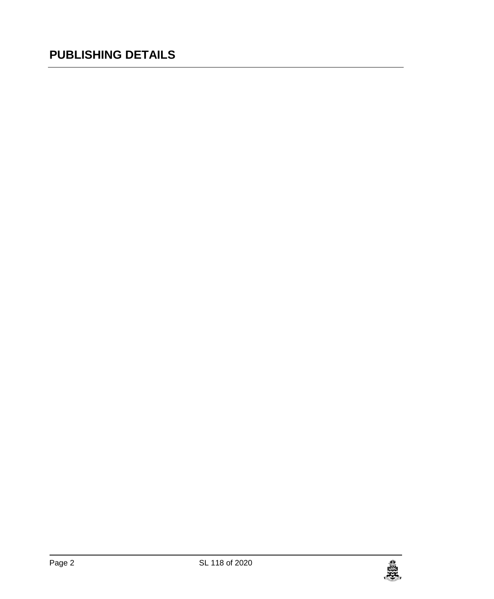## **PUBLISHING DETAILS**

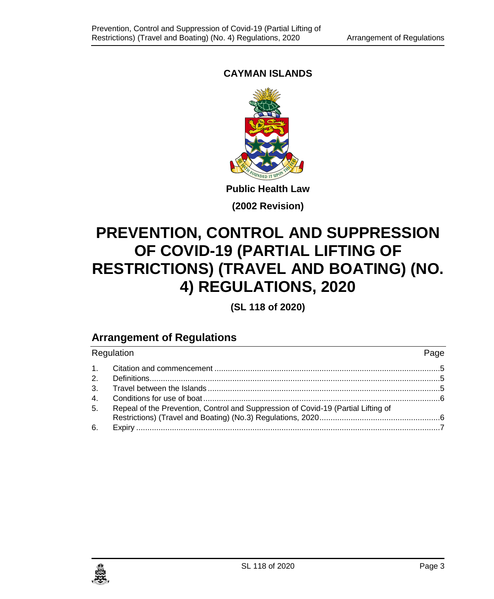#### **CAYMAN ISLANDS**



**(2002 Revision)**

## **PREVENTION, CONTROL AND SUPPRESSION OF COVID-19 (PARTIAL LIFTING OF RESTRICTIONS) (TRAVEL AND BOATING) (NO. 4) REGULATIONS, 2020**

**(SL 118 of 2020)**

### **Arrangement of Regulations**

| Regulation     |                                                                                   |  |
|----------------|-----------------------------------------------------------------------------------|--|
|                |                                                                                   |  |
|                |                                                                                   |  |
|                |                                                                                   |  |
|                |                                                                                   |  |
| 5 <sub>1</sub> | Repeal of the Prevention, Control and Suppression of Covid-19 (Partial Lifting of |  |
|                |                                                                                   |  |

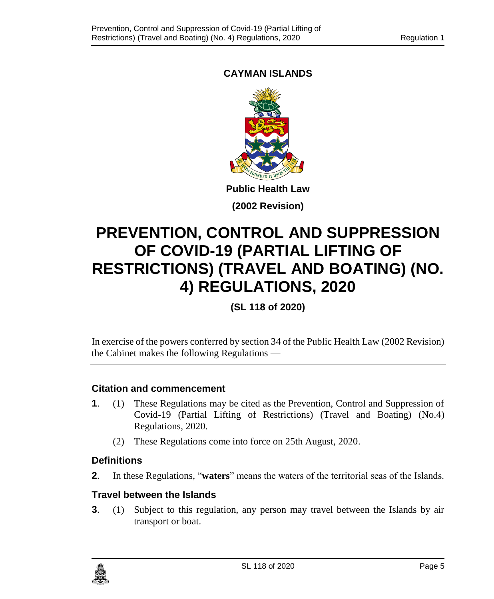#### **CAYMAN ISLANDS**



**(2002 Revision)**

## **PREVENTION, CONTROL AND SUPPRESSION OF COVID-19 (PARTIAL LIFTING OF RESTRICTIONS) (TRAVEL AND BOATING) (NO. 4) REGULATIONS, 2020**

**(SL 118 of 2020)**

In exercise of the powers conferred by section 34 of the Public Health Law (2002 Revision) the Cabinet makes the following Regulations —

#### <span id="page-4-0"></span>**1. Citation and commencement**

- **1**. (1) These Regulations may be cited as the Prevention, Control and Suppression of Covid-19 (Partial Lifting of Restrictions) (Travel and Boating) (No.4) Regulations, 2020.
	- (2) These Regulations come into force on 25th August, 2020.

#### <span id="page-4-1"></span>**2. Definitions**

**2**. In these Regulations, "**waters**" means the waters of the territorial seas of the Islands.

#### <span id="page-4-2"></span>**3. Travel between the Islands**

**3**. (1) Subject to this regulation, any person may travel between the Islands by air transport or boat.

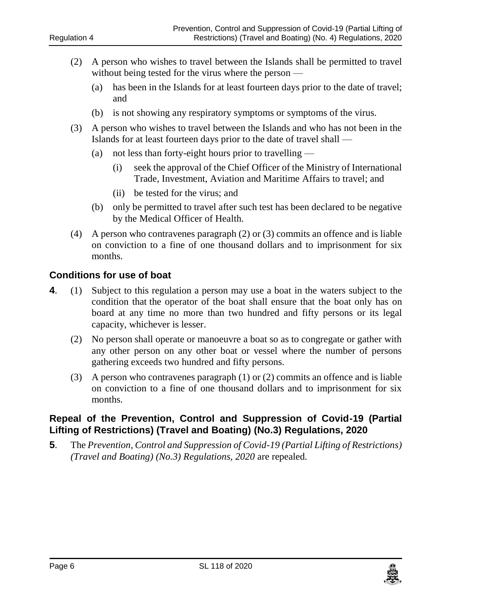- (2) A person who wishes to travel between the Islands shall be permitted to travel without being tested for the virus where the person —
	- (a) has been in the Islands for at least fourteen days prior to the date of travel; and
	- (b) is not showing any respiratory symptoms or symptoms of the virus.
- (3) A person who wishes to travel between the Islands and who has not been in the Islands for at least fourteen days prior to the date of travel shall —
	- (a) not less than forty-eight hours prior to travelling
		- (i) seek the approval of the Chief Officer of the Ministry of International Trade, Investment, Aviation and Maritime Affairs to travel; and
		- (ii) be tested for the virus; and
	- (b) only be permitted to travel after such test has been declared to be negative by the Medical Officer of Health.
- (4) A person who contravenes paragraph (2) or (3) commits an offence and is liable on conviction to a fine of one thousand dollars and to imprisonment for six months.

#### <span id="page-5-0"></span>**4. Conditions for use of boat**

- **4**. (1) Subject to this regulation a person may use a boat in the waters subject to the condition that the operator of the boat shall ensure that the boat only has on board at any time no more than two hundred and fifty persons or its legal capacity, whichever is lesser.
	- (2) No person shall operate or manoeuvre a boat so as to congregate or gather with any other person on any other boat or vessel where the number of persons gathering exceeds two hundred and fifty persons.
	- (3) A person who contravenes paragraph (1) or (2) commits an offence and is liable on conviction to a fine of one thousand dollars and to imprisonment for six months.

#### <span id="page-5-1"></span>**5. Repeal of the Prevention, Control and Suppression of Covid-19 (Partial Lifting of Restrictions) (Travel and Boating) (No.3) Regulations, 2020**

**5**. The *Prevention, Control and Suppression of Covid-19 (Partial Lifting of Restrictions) (Travel and Boating) (No.3) Regulations, 2020* are repealed*.*